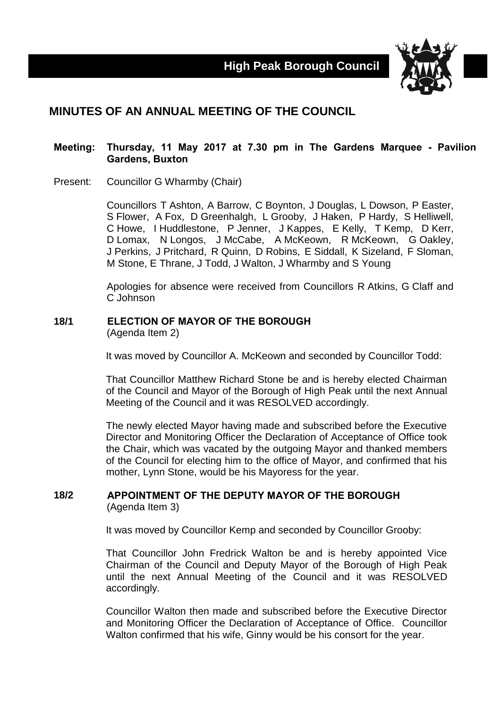

# **MINUTES OF AN ANNUAL MEETING OF THE COUNCIL**

### **Meeting: Thursday, 11 May 2017 at 7.30 pm in The Gardens Marquee - Pavilion Gardens, Buxton**

Present: Councillor G Wharmby (Chair)

Councillors T Ashton, A Barrow, C Boynton, J Douglas, L Dowson, P Easter, S Flower, A Fox, D Greenhalgh, L Grooby, J Haken, P Hardy, S Helliwell, C Howe, I Huddlestone, P Jenner, J Kappes, E Kelly, T Kemp, D Kerr, D Lomax, N Longos, J McCabe, A McKeown, R McKeown, G Oakley, J Perkins, J Pritchard, R Quinn, D Robins, E Siddall, K Sizeland, F Sloman, M Stone, E Thrane, J Todd, J Walton, J Wharmby and S Young

Apologies for absence were received from Councillors R Atkins, G Claff and C Johnson

### **18/1 ELECTION OF MAYOR OF THE BOROUGH**

(Agenda Item 2)

It was moved by Councillor A. McKeown and seconded by Councillor Todd:

That Councillor Matthew Richard Stone be and is hereby elected Chairman of the Council and Mayor of the Borough of High Peak until the next Annual Meeting of the Council and it was RESOLVED accordingly.

The newly elected Mayor having made and subscribed before the Executive Director and Monitoring Officer the Declaration of Acceptance of Office took the Chair, which was vacated by the outgoing Mayor and thanked members of the Council for electing him to the office of Mayor, and confirmed that his mother, Lynn Stone, would be his Mayoress for the year.

### **18/2 APPOINTMENT OF THE DEPUTY MAYOR OF THE BOROUGH** (Agenda Item 3)

It was moved by Councillor Kemp and seconded by Councillor Grooby:

That Councillor John Fredrick Walton be and is hereby appointed Vice Chairman of the Council and Deputy Mayor of the Borough of High Peak until the next Annual Meeting of the Council and it was RESOLVED accordingly.

Councillor Walton then made and subscribed before the Executive Director and Monitoring Officer the Declaration of Acceptance of Office. Councillor Walton confirmed that his wife, Ginny would be his consort for the year.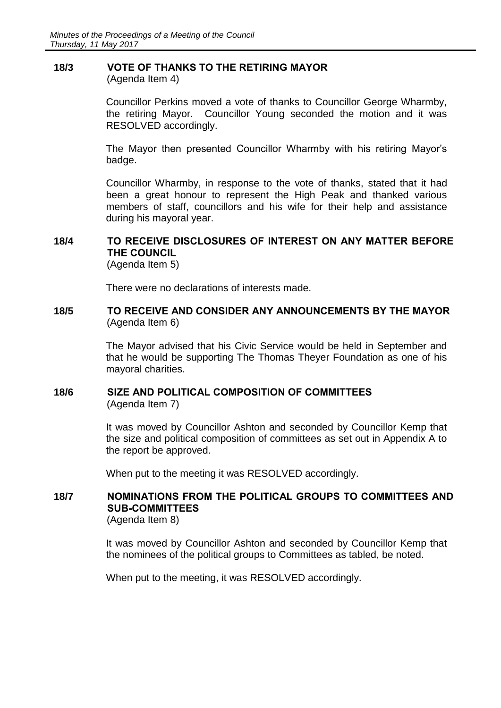# **18/3 VOTE OF THANKS TO THE RETIRING MAYOR**

(Agenda Item 4)

Councillor Perkins moved a vote of thanks to Councillor George Wharmby, the retiring Mayor. Councillor Young seconded the motion and it was RESOLVED accordingly.

The Mayor then presented Councillor Wharmby with his retiring Mayor's badge.

Councillor Wharmby, in response to the vote of thanks, stated that it had been a great honour to represent the High Peak and thanked various members of staff, councillors and his wife for their help and assistance during his mayoral year.

# **18/4 TO RECEIVE DISCLOSURES OF INTEREST ON ANY MATTER BEFORE THE COUNCIL**

(Agenda Item 5)

There were no declarations of interests made.

### **18/5 TO RECEIVE AND CONSIDER ANY ANNOUNCEMENTS BY THE MAYOR** (Agenda Item 6)

The Mayor advised that his Civic Service would be held in September and that he would be supporting The Thomas Theyer Foundation as one of his mayoral charities.

#### **18/6 SIZE AND POLITICAL COMPOSITION OF COMMITTEES** (Agenda Item 7)

It was moved by Councillor Ashton and seconded by Councillor Kemp that the size and political composition of committees as set out in Appendix A to the report be approved.

When put to the meeting it was RESOLVED accordingly.

## **18/7 NOMINATIONS FROM THE POLITICAL GROUPS TO COMMITTEES AND SUB-COMMITTEES**

(Agenda Item 8)

It was moved by Councillor Ashton and seconded by Councillor Kemp that the nominees of the political groups to Committees as tabled, be noted.

When put to the meeting, it was RESOLVED accordingly.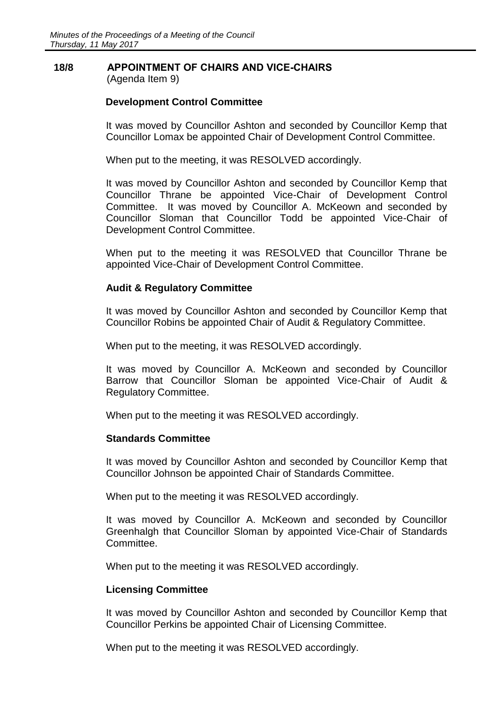# **18/8 APPOINTMENT OF CHAIRS AND VICE-CHAIRS**

(Agenda Item 9)

### **Development Control Committee**

It was moved by Councillor Ashton and seconded by Councillor Kemp that Councillor Lomax be appointed Chair of Development Control Committee.

When put to the meeting, it was RESOLVED accordingly.

It was moved by Councillor Ashton and seconded by Councillor Kemp that Councillor Thrane be appointed Vice-Chair of Development Control Committee. It was moved by Councillor A. McKeown and seconded by Councillor Sloman that Councillor Todd be appointed Vice-Chair of Development Control Committee.

When put to the meeting it was RESOLVED that Councillor Thrane be appointed Vice-Chair of Development Control Committee.

### **Audit & Regulatory Committee**

It was moved by Councillor Ashton and seconded by Councillor Kemp that Councillor Robins be appointed Chair of Audit & Regulatory Committee.

When put to the meeting, it was RESOLVED accordingly.

It was moved by Councillor A. McKeown and seconded by Councillor Barrow that Councillor Sloman be appointed Vice-Chair of Audit & Regulatory Committee.

When put to the meeting it was RESOLVED accordingly.

### **Standards Committee**

It was moved by Councillor Ashton and seconded by Councillor Kemp that Councillor Johnson be appointed Chair of Standards Committee.

When put to the meeting it was RESOLVED accordingly.

It was moved by Councillor A. McKeown and seconded by Councillor Greenhalgh that Councillor Sloman by appointed Vice-Chair of Standards Committee.

When put to the meeting it was RESOLVED accordingly.

### **Licensing Committee**

It was moved by Councillor Ashton and seconded by Councillor Kemp that Councillor Perkins be appointed Chair of Licensing Committee.

When put to the meeting it was RESOLVED accordingly.